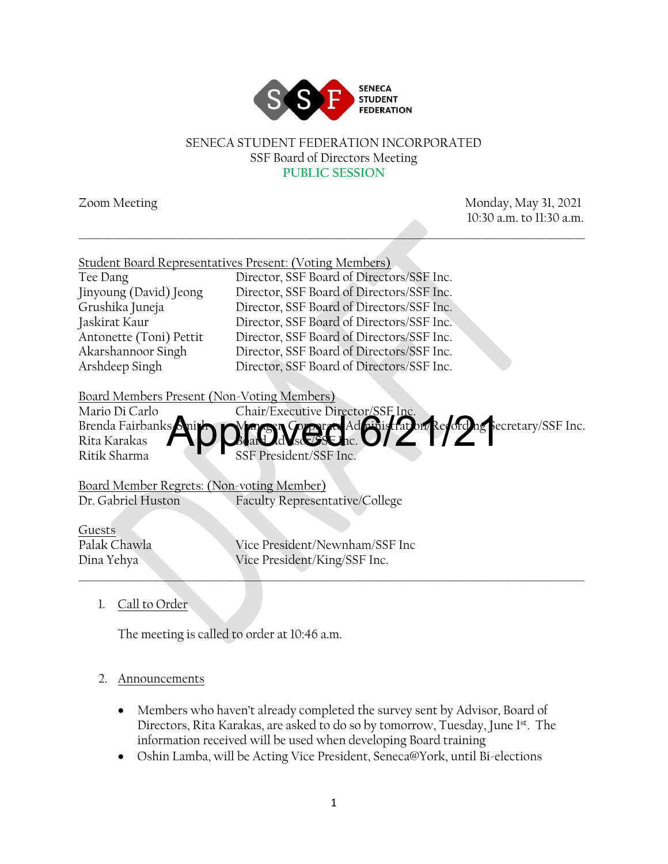

#### SENECA STUDENT FEDERATION INCORPORATED SSF Board of Directors Meeting **PUBLIC SESSION**

\_\_\_\_\_\_\_\_\_\_\_\_\_\_\_\_\_\_\_\_\_\_\_\_\_\_\_\_\_\_\_\_\_\_\_\_\_\_\_\_\_\_\_\_\_\_\_\_\_\_\_\_\_\_\_\_\_\_\_\_\_\_\_\_\_\_\_\_\_\_\_\_\_\_\_\_\_\_\_\_\_\_\_\_\_\_\_\_\_\_\_\_\_\_\_\_\_\_\_\_\_\_\_

Zoom Meeting Monday, May 31, 2021 10:30 a.m. to 11:30 a.m.

|                                            | Student Board Representatives Present: (Voting Members) |
|--------------------------------------------|---------------------------------------------------------|
| Tee Dang                                   | Director, SSF Board of Directors/SSF Inc.               |
| Jinyoung (David) Jeong                     | Director, SSF Board of Directors/SSF Inc.               |
| Grushika Juneja                            | Director, SSF Board of Directors/SSF Inc.               |
| Jaskirat Kaur                              | Director, SSF Board of Directors/SSF Inc.               |
| Antonette (Toni) Pettit                    | Director, SSF Board of Directors/SSF Inc.               |
| Akarshannoor Singh                         | Director, SSF Board of Directors/SSF Inc.               |
| Arshdeep Singh                             | Director, SSF Board of Directors/SSF Inc.               |
|                                            |                                                         |
| Board Members Present (Non-Voting Members) |                                                         |
| Mario Di Carlo                             | Chair/Executive Director/SSF Inc.                       |
| Brenda Fairbanks Anith                     | Did NGC Ad Gistaburke of De Secretary/SSF Inc.          |
| Rita Karakas                               |                                                         |
| Ritik Sharma                               | SSF President/SSF Inc.                                  |
|                                            |                                                         |
| Board Member Regrets: (Non-voting Member)  |                                                         |
| Dr. Gabriel Huston                         | Faculty Representative/College                          |
|                                            |                                                         |
| Guests                                     |                                                         |
| Palak Chawla                               | Vice President/Newnham/SSF Inc                          |
| Dina Yehya                                 | Vice President/King/SSF Inc.                            |
|                                            |                                                         |

1. Call to Order

The meeting is called to order at 10:46 a.m.

## 2. Announcements

- Members who haven't already completed the survey sent by Advisor, Board of Directors, Rita Karakas, are asked to do so by tomorrow, Tuesday, June 1st. The information received will be used when developing Board training
- Oshin Lamba, will be Acting Vice President, Seneca@York, until Bi-elections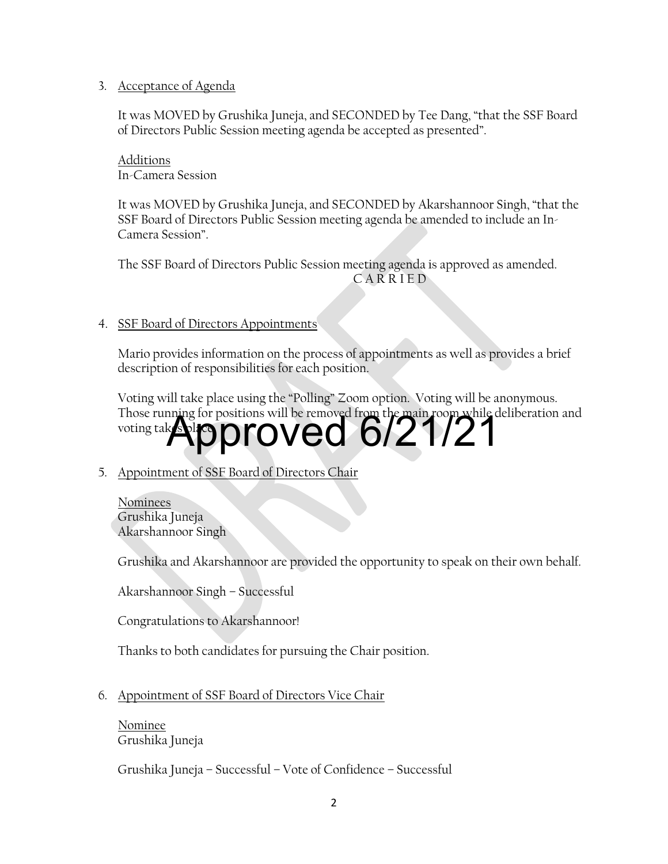### 3. Acceptance of Agenda

It was MOVED by Grushika Juneja, and SECONDED by Tee Dang, "that the SSF Board of Directors Public Session meeting agenda be accepted as presented".

Additions In-Camera Session

It was MOVED by Grushika Juneja, and SECONDED by Akarshannoor Singh, "that the SSF Board of Directors Public Session meeting agenda be amended to include an In-Camera Session".

The SSF Board of Directors Public Session meeting agenda is approved as amended. C A R R I E D

### 4. SSF Board of Directors Appointments

Mario provides information on the process of appointments as well as provides a brief description of responsibilities for each position.

Voting will take place using the "Polling" Zoom option. Voting will be anonymous. Those running for positions will be removed from the main room while deliberation and voting takes Approved 6/21/21

## 5. Appointment of SSF Board of Directors Chair

Nominees Grushika Juneja Akarshannoor Singh

Grushika and Akarshannoor are provided the opportunity to speak on their own behalf.

Akarshannoor Singh – Successful

Congratulations to Akarshannoor!

Thanks to both candidates for pursuing the Chair position.

## 6. Appointment of SSF Board of Directors Vice Chair

Nominee Grushika Juneja

Grushika Juneja – Successful – Vote of Confidence – Successful